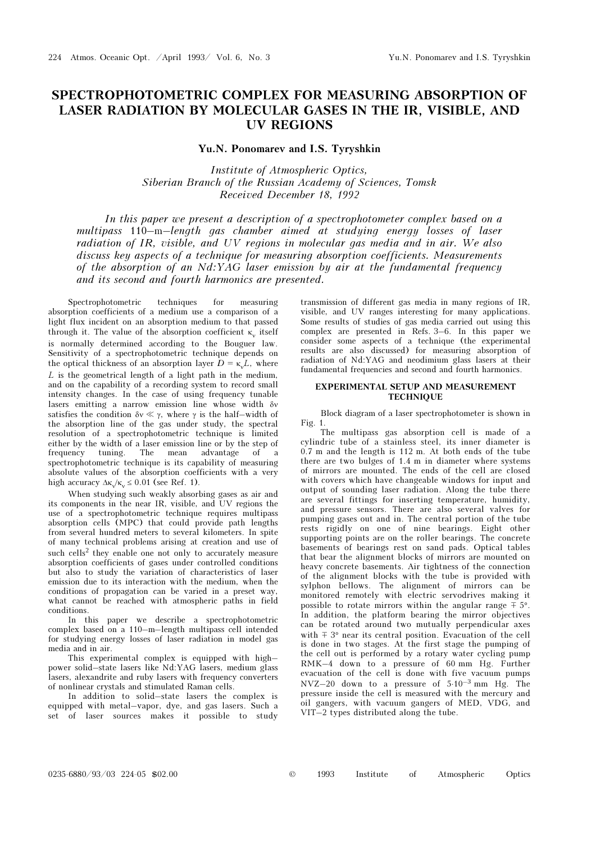## SPECTROPHOTOMETRIC COMPLEX FOR MEASURING ABSORPTION OF LASER RADIATION BY MOLECULAR GASES IN THE IR, VISIBLE, AND UV REGIONS

Yu.N. Ponomarev and I.S. Tyryshkin

Institute of Atmospheric Optics, Siberian Branch of the Russian Academy of Sciences, Tomsk Received December 18, 1992

In this paper we present a description of a spectrophotometer complex based on a multipass 110–m–length gas chamber aimed at studying energy losses of laser radiation of IR, visible, and UV regions in molecular gas media and in air. We also discuss key aspects of a technique for measuring absorption coefficients. Measurements of the absorption of an Nd:YAG laser emission by air at the fundamental frequency and its second and fourth harmonics are presented.

Spectrophotometric techniques for measuring absorption coefficients of a medium use a comparison of a light flux incident on an absorption medium to that passed through it. The value of the absorption coefficient  $\kappa_{v}$  itself is normally determined according to the Bouguer law. Sensitivity of a spectrophotometric technique depends on the optical thickness of an absorption layer  $D = \kappa L$ , where L is the geometrical length of a light path in the medium, and on the capability of a recording system to record small intensity changes. In the case of using frequency tunable lasers emitting a narrow emission line whose width δν satisfies the condition  $\delta v \ll \gamma$ , where  $\gamma$  is the half–width of the absorption line of the gas under study, the spectral resolution of a spectrophotometric technique is limited either by the width of a laser emission line or by the step of frequency tuning. The mean advantage of a spectrophotometric technique is its capability of measuring absolute values of the absorption coefficients with a very high accuracy  $\Delta \kappa \propto 0.01$  (see Ref. 1).

When studying such weakly absorbing gases as air and its components in the near IR, visible, and UV regions the use of a spectrophotometric technique requires multipass absorption cells (MPC) that could provide path lengths from several hundred meters to several kilometers. In spite of many technical problems arising at creation and use of such cells<sup>2</sup> they enable one not only to accurately measure absorption coefficients of gases under controlled conditions but also to study the variation of characteristics of laser emission due to its interaction with the medium, when the conditions of propagation can be varied in a preset way, what cannot be reached with atmospheric paths in field conditions.

In this paper we describe a spectrophotometric complex based on a 110–m–length multipass cell intended for studying energy losses of laser radiation in model gas media and in air.

This experimental complex is equipped with high– power solid–state lasers like Nd:YAG lasers, medium glass lasers, alexandrite and ruby lasers with frequency converters of nonlinear crystals and stimulated Raman cells.

In addition to solid–state lasers the complex is equipped with metal–vapor, dye, and gas lasers. Such a set of laser sources makes it possible to study transmission of different gas media in many regions of IR, visible, and UV ranges interesting for many applications. Some results of studies of gas media carried out using this complex are presented in Refs. 3-6. In this paper we consider some aspects of a technique (the experimental results are also discussed) for measuring absorption of radiation of Nd:YAG and neodimium glass lasers at their fundamental frequencies and second and fourth harmonics.

## EXPERIMENTAL SETUP AND MEASUREMENT **TECHNIQUE**

Block diagram of a laser spectrophotometer is shown in Fig. 1.

The multipass gas absorption cell is made of a cylindric tube of a stainless steel, its inner diameter is 0.7 m and the length is 112 m. At both ends of the tube there are two bulges of 1.4 m in diameter where systems of mirrors are mounted. The ends of the cell are closed with covers which have changeable windows for input and output of sounding laser radiation. Along the tube there are several fittings for inserting temperature, humidity, and pressure sensors. There are also several valves for pumping gases out and in. The central portion of the tube rests rigidly on one of nine bearings. Eight other supporting points are on the roller bearings. The concrete basements of bearings rest on sand pads. Optical tables that bear the alignment blocks of mirrors are mounted on heavy concrete basements. Air tightness of the connection of the alignment blocks with the tube is provided with sylphon bellows. The alignment of mirrors can be monitored remotely with electric servodrives making it possible to rotate mirrors within the angular range  $\overline{+} 5^{\circ}$ . In addition, the platform bearing the mirror objectives can be rotated around two mutually perpendicular axes with  $\pm 3^{\circ}$  near its central position. Evacuation of the cell is done in two stages. At the first stage the pumping of the cell out is performed by a rotary water cycling pump RMK–4 down to a pressure of 60 mm Hg. Further evacuation of the cell is done with five vacuum pumps NVZ–20 down to a pressure of 5⋅10–3 mm Hg. The pressure inside the cell is measured with the mercury and oil gangers, with vacuum gangers of MED, VDG, and VIT–2 types distributed along the tube.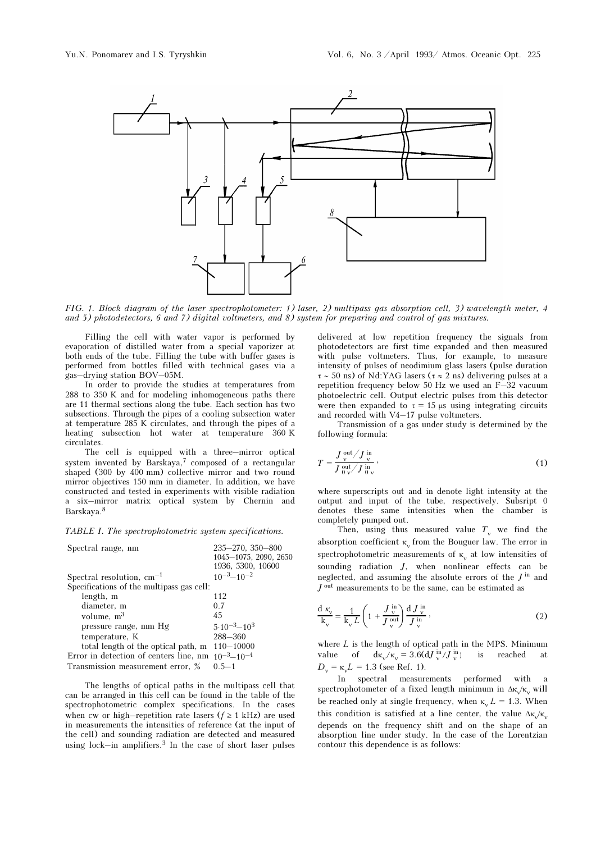

FIG. 1. Block diagram of the laser spectrophotometer: 1) laser, 2) multipass gas absorption cell, 3) wavelength meter, 4 and 5) photodetectors, 6 and 7) digital voltmeters, and 8) system for preparing and control of gas mixtures.

Filling the cell with water vapor is performed by evaporation of distilled water from a special vaporizer at both ends of the tube. Filling the tube with buffer gases is performed from bottles filled with technical gases via a gas–drying station BOV–05M.

In order to provide the studies at temperatures from 288 to 350 K and for modeling inhomogeneous paths there are 11 thermal sections along the tube. Each section has two subsections. Through the pipes of a cooling subsection water at temperature 285 K circulates, and through the pipes of a heating subsection hot water at temperature 360 K circulates.

The cell is equipped with a three–mirror optical system invented by Barskaya,<sup>7</sup> composed of a rectangular shaped (300 by 400 mm) collective mirror and two round mirror objectives 150 mm in diameter. In addition, we have constructed and tested in experiments with visible radiation a six–mirror matrix optical system by Chernin and Barskaya.<sup>8</sup>

TABLE I. The spectrophotometric system specifications.

| Spectral range, nm                                         | $235 - 270$ , $350 - 800$ |
|------------------------------------------------------------|---------------------------|
|                                                            | 1045-1075, 2090, 2650     |
|                                                            | 1936, 5300, 10600         |
| Spectral resolution, $cm^{-1}$                             | $10^{-3} - 10^{-2}$       |
| Specifications of the multipass gas cell:                  |                           |
| length, m                                                  | 112                       |
| diameter, m                                                | 0.7                       |
| volume, $m3$                                               | 45                        |
| pressure range, mm Hg                                      | $5.10^{-3} - 10^{3}$      |
| temperature, K                                             | $288 - 360$               |
| total length of the optical path, m                        | $110 - 10000$             |
| Error in detection of centers line, nm $10^{-3} - 10^{-4}$ |                           |
| Transmission measurement error, %                          | $0.5 - 1$                 |

The lengths of optical paths in the multipass cell that can be arranged in this cell can be found in the table of the spectrophotometric complex specifications. In the cases when cw or high–repetition rate lasers ( $f \ge 1$  kHz) are used in measurements the intensities of reference (at the input of the cell) and sounding radiation are detected and measured using lock—in amplifiers. $3$  In the case of short laser pulses delivered at low repetition frequency the signals from photodetectors are first time expanded and then measured with pulse voltmeters. Thus, for example, to measure intensity of pulses of neodimium glass lasers (pulse duration  $\tau \sim 50$  ns) of Nd:YAG lasers ( $\tau \approx 2$  ns) delivering pulses at a repetition frequency below 50 Hz we used an F–32 vacuum photoelectric cell. Output electric pulses from this detector were then expanded to  $\tau = 15 \mu s$  using integrating circuits and recorded with V4–17 pulse voltmeters.

Transmission of a gas under study is determined by the following formula:

$$
T = \frac{J_v^{\text{out}} / J_v^{\text{in}}}{J_v^{\text{out}} / J_v^{\text{in}}},
$$
\n(1)

where superscripts out and in denote light intensity at the output and input of the tube, respectively. Subsript 0 denotes these same intensities when the chamber is completely pumped out.

Then, using thus measured value  $T_v$  we find the absorption coefficient  $\kappa_{v}$  from the Bouguer law. The error in spectrophotometric measurements of  $\kappa$  at low intensities of sounding radiation J, when nonlinear effects can be neglected, and assuming the absolute errors of the  $J^{\text{in}}$  and  $J^{\mathrm{out}}$  measurements to be the same, can be estimated as

$$
\frac{\mathrm{d}\,\kappa_{\mathrm{v}}}{\mathrm{k}_{\mathrm{v}}} = \frac{1}{k_{\mathrm{v}}\,L} \left( 1 + \frac{J_{\mathrm{v}}^{\mathrm{in}}}{J_{\mathrm{v}}^{\mathrm{out}}} \right) \frac{\mathrm{d}\,J_{\mathrm{v}}^{\mathrm{in}}}{J_{\mathrm{v}}^{\mathrm{in}}} \,,\tag{2}
$$

where  $L$  is the length of optical path in the MPS. Minimum value of  $d\kappa_v/\kappa_v = 3.6(dJ_v^{\text{in}}/J_v^{\text{in}})$ is reached at  $D_{v} = \kappa L = 1.3$  (see Ref. 1).

In spectral measurements performed with a spectrophotometer of a fixed length minimum in  $\Delta \kappa_v$  will be reached only at single frequency, when  $\kappa_{\text{u}} L = 1.3$ . When this condition is satisfied at a line center, the value  $\Delta \kappa/\kappa$ depends on the frequency shift and on the shape of an absorption line under study. In the case of the Lorentzian contour this dependence is as follows: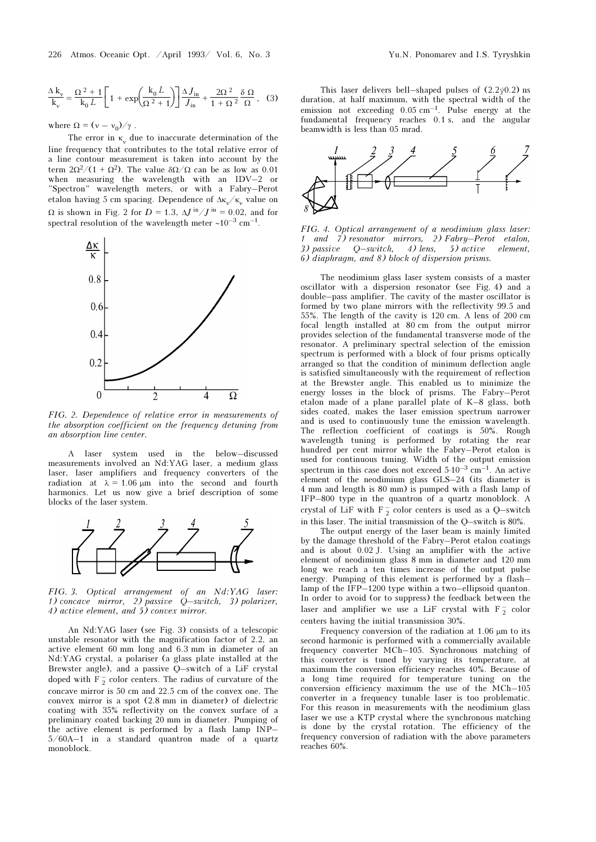$$
\frac{\Delta k_{\rm v}}{k_{\rm v}} = \frac{\Omega^2 + 1}{k_0 L} \left[ 1 + \exp\left(\frac{k_0 L}{\Omega^2 + 1}\right) \right] \frac{\Delta J_{\rm in}}{J_{\rm in}} + \frac{2\Omega^2}{1 + \Omega^2} \frac{\delta \Omega}{\Omega}, \quad (3)
$$

where  $\Omega = (v - v_0)/\gamma$ .

The error in  $\kappa_v$  due to inaccurate determination of the line frequency that contributes to the total relative error of a line contour measurement is taken into account by the term  $2\Omega^2/(1 + \Omega^2)$ . The value  $\delta\Omega/\Omega$  can be as low as 0.01 when measuring the wavelength with an IDV–2 or "Spectron" wavelength meters, or with a Fabry–Perot etalon having 5 cm spacing. Dependence of  $\Delta \kappa_v / \kappa_v$  value on Ω is shown in Fig. 2 for  $D = 1.3$ ,  $ΔJ<sup>in</sup>/J<sup>in</sup> = 0.02$ , and for spectral resolution of the wavelength meter ∼10–3 cm–1.



FIG. 2. Dependence of relative error in measurements of the absorption coefficient on the frequency detuning from an absorption line center.

A laser system used in the below–discussed measurements involved an Nd:YAG laser, a medium glass laser, laser amplifiers and frequency converters of the radiation at  $\lambda = 1.06 \mu m$  into the second and fourth harmonics. Let us now give a brief description of some blocks of the laser system.



FIG. 3. Optical arrangement of an Nd:YAG laser: 1) concave mirror, 2) passive Q–switch, 3) polarizer, 4) active element, and 5) convex mirror.

An Nd:YAG laser (see Fig. 3) consists of a telescopic unstable resonator with the magnification factor of 2.2, an active element 60 mm long and 6.3 mm in diameter of an Nd:YAG crystal, a polariser (a glass plate installed at the Brewster angle), and a passive Q–switch of a LiF crystal doped with  $F_2^-$  color centers. The radius of curvature of the concave mirror is 50 cm and 22.5 cm of the convex one. The convex mirror is a spot (2.8 mm in diameter) of dielectric coating with 35% reflectivity on the convex surface of a preliminary coated backing 20 mm in diameter. Pumping of the active element is performed by a flash lamp INP– 5/60A–1 in a standard quantron made of a quartz monoblock.

This laser delivers bell–shaped pulses of  $(2.2\dot{\varphi}0.2)$  ns duration, at half maximum, with the spectral width of the emission not exceeding 0.05 cm–1. Pulse energy at the fundamental frequency reaches 0.1 s, and the angular beamwidth is less than 05 mrad.



FIG. 4. Optical arrangement of a neodimium glass laser: 1 and 7) resonator mirrors, 2) Fabry–Perot etalon, 3) passive Q–switch, 4) lens, 5) active element, 6) diaphragm, and 8) block of dispersion prisms.

The neodimium glass laser system consists of a master oscillator with a dispersion resonator (see Fig. 4) and a double–pass amplifier. The cavity of the master oscillator is formed by two plane mirrors with the reflectivity 99.5 and 55%. The length of the cavity is 120 cm. A lens of 200 cm focal length installed at 80 cm from the output mirror provides selection of the fundamental transverse mode of the resonator. A preliminary spectral selection of the emission spectrum is performed with a block of four prisms optically arranged so that the condition of minimum deflection angle is satisfied simultaneously with the requirement of reflection at the Brewster angle. This enabled us to minimize the energy losses in the block of prisms. The Fabry–Perot etalon made of a plane parallel plate of K–8 glass, both sides coated, makes the laser emission spectrum narrower and is used to continuously tune the emission wavelength. The reflection coefficient of coatings is 50%. Rough wavelength tuning is performed by rotating the rear hundred per cent mirror while the Fabry–Perot etalon is used for continuous tuning. Width of the output emission spectrum in this case does not exceed  $5·10<sup>-3</sup>$  cm<sup>-1</sup>. An active element of the neodimium glass GLS–24 (its diameter is 4 mm and length is 80 mm) is pumped with a flash lamp of IFP–800 type in the quantron of a quartz monoblock. A crystal of LiF with  $F_2^-$  color centers is used as a Q-switch in this laser. The initial transmission of the Q–switch is 80%.

The output energy of the laser beam is mainly limited by the damage threshold of the Fabry–Perot etalon coatings and is about 0.02 J. Using an amplifier with the active element of neodimium glass 8 mm in diameter and 120 mm long we reach a ten times increase of the output pulse energy. Pumping of this element is performed by a flash– lamp of the IFP–1200 type within a two–ellipsoid quanton. In order to avoid (or to suppress) the feedback between the laser and amplifier we use a LiF crystal with  $F_2^-$  color centers having the initial transmission 30%.

Frequency conversion of the radiation at 1.06 μm to its second harmonic is performed with a commercially available frequency converter MCh–105. Synchronous matching of this converter is tuned by varying its temperature, at maximum the conversion efficiency reaches 40%. Because of a long time required for temperature tuning on the conversion efficiency maximum the use of the MCh–105 converter in a frequency tunable laser is too problematic. For this reason in measurements with the neodimium glass laser we use a KTP crystal where the synchronous matching is done by the crystal rotation. The efficiency of the frequency conversion of radiation with the above parameters reaches 60%.